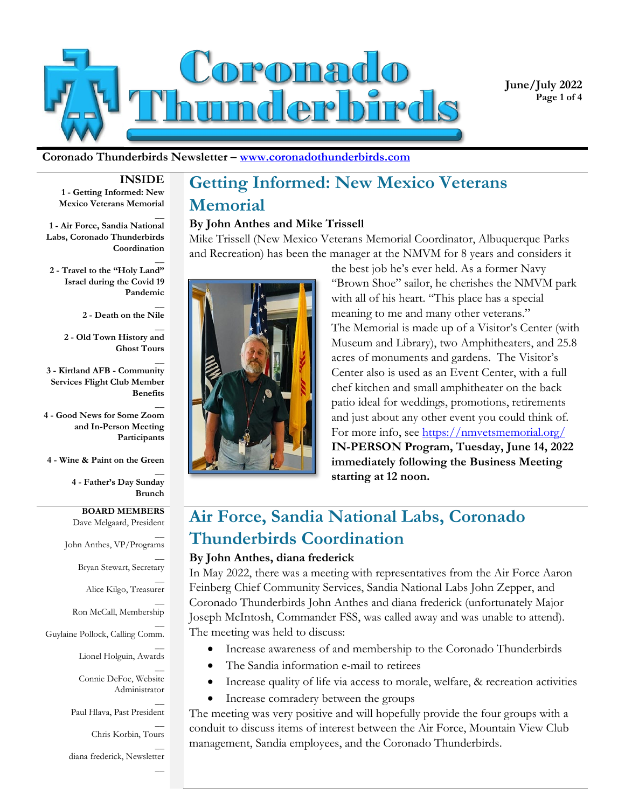

**June/July 2022 Page 1 of 4**

#### **Coronado Thunderbirds Newsletter – www.coronadothunderbirds.com**

### **INSIDE**

 $\overline{a}$ 

 $\overline{a}$ 

 $\overline{a}$ 

 $\overline{a}$ 

 $\overline{a}$ 

 $\overline{a}$ 

 $\overline{a}$ 

 $\overline{a}$ 

 $\overline{a}$ 

**1 - Getting Informed: New Mexico Veterans Memorial**

**1 - Air Force, Sandia National Labs, Coronado Thunderbirds Coordination**

 $\overline{a}$ **2 - Travel to the "Holy Land" Israel during the Covid 19 Pandemic**

> $\overline{a}$ **2 - Death on the Nile**

**2 - Old Town History and Ghost Tours**

**3 - Kirtland AFB - Community Services Flight Club Member Benefits**

**4 - Good News for Some Zoom and In-Person Meeting Participants** 

**4 - Wine & Paint on the Green**

**4 - Father's Day Sunday Brunch**

**BOARD MEMBERS** Dave Melgaard, President

 $\overline{a}$ John Anthes, VP/Programs

 $\overline{a}$ 

Bryan Stewart, Secretary  $\overline{a}$ 

Alice Kilgo, Treasurer  $\overline{a}$ 

Ron McCall, Membership

 $\overline{a}$ Guylaine Pollock, Calling Comm.

Lionel Holguin, Awards

Connie DeFoe, Website Administrator

 $\overline{a}$ Paul Hlava, Past President

> $\overline{a}$ Chris Korbin, Tours

diana frederick, Newsletter

# **Getting Informed: New Mexico Veterans Memorial By John Anthes and Mike Trissell**

Mike Trissell (New Mexico Veterans Memorial Coordinator, Albuquerque Parks and Recreation) has been the manager at the NMVM for 8 years and considers it



the best job he's ever held. As a former Navy "Brown Shoe" sailor, he cherishes the NMVM park with all of his heart. "This place has a special meaning to me and many other veterans." The Memorial is made up of a Visitor's Center (with Museum and Library), two Amphitheaters, and 25.8 acres of monuments and gardens. The Visitor's Center also is used as an Event Center, with a full chef kitchen and small amphitheater on the back patio ideal for weddings, promotions, retirements and just about any other event you could think of. For more info, see<https://nmvetsmemorial.org/> **IN-PERSON Program, Tuesday, June 14, 2022 immediately following the Business Meeting starting at 12 noon.**

## **Air Force, Sandia National Labs, Coronado Thunderbirds Coordination**

#### **By John Anthes, diana frederick**

In May 2022, there was a meeting with representatives from the Air Force Aaron Feinberg Chief Community Services, Sandia National Labs John Zepper, and Coronado Thunderbirds John Anthes and diana frederick (unfortunately Major Joseph McIntosh, Commander FSS, was called away and was unable to attend). The meeting was held to discuss:

- Increase awareness of and membership to the Coronado Thunderbirds
- The Sandia information e-mail to retirees
- Increase quality of life via access to morale, welfare, & recreation activities
- Increase comradery between the groups

The meeting was very positive and will hopefully provide the four groups with a conduit to discuss items of interest between the Air Force, Mountain View Club management, Sandia employees, and the Coronado Thunderbirds.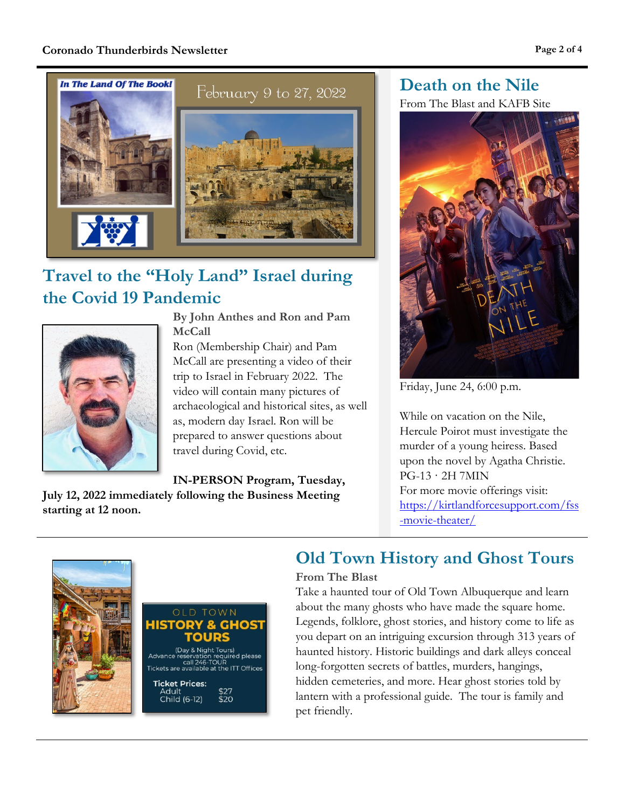

## **Travel to the "Holy Land" Israel during the Covid 19 Pandemic**



**By John Anthes and Ron and Pam McCall**

Ron (Membership Chair) and Pam McCall are presenting a video of their trip to Israel in February 2022. The video will contain many pictures of archaeological and historical sites, as well as, modern day Israel. Ron will be prepared to answer questions about travel during Covid, etc.

**IN-PERSON Program, Tuesday,** 

**July 12, 2022 immediately following the Business Meeting starting at 12 noon.**

**Death on the Nile** From The Blast and KAFB Site

Friday, June 24, 6:00 p.m.

While on vacation on the Nile, Hercule Poirot must investigate the murder of a young heiress. Based upon the novel by Agatha Christie. PG-13 · 2H 7MIN For more movie offerings visit: [https://kirtlandforcesupport.com/fss](https://kirtlandforcesupport.com/fss-movie-theater/) [-movie-theater/](https://kirtlandforcesupport.com/fss-movie-theater/)



#### **OLD TOWN** & GHOST HISTOR OURS (Day & Night Tours) لكان (الكاركة Night Tours)<br>Advance reservation required please<br>Tickets are available at the ITT Offices

**Ticket Prices:** Adult  $$27$ <br> $$20$ Child (6-12)

### **Old Town History and Ghost Tours**

#### **From The Blast**

Take a haunted tour of Old Town Albuquerque and learn about the many ghosts who have made the square home. Legends, folklore, ghost stories, and history come to life as you depart on an intriguing excursion through 313 years of haunted history. Historic buildings and dark alleys conceal long-forgotten secrets of battles, murders, hangings, hidden cemeteries, and more. Hear ghost stories told by lantern with a professional guide. The tour is family and pet friendly.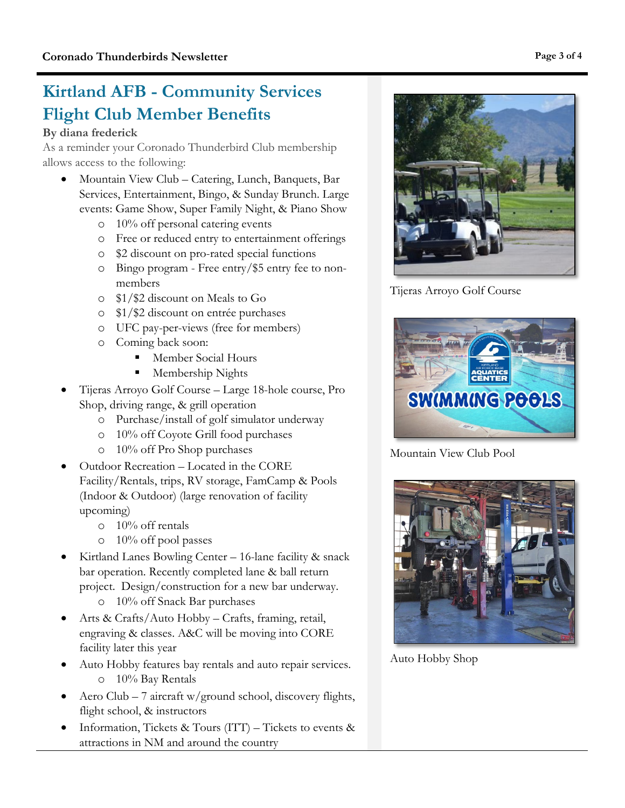### **Kirtland AFB - Community Services Flight Club Member Benefits**

#### **By diana frederick**

As a reminder your Coronado Thunderbird Club membership allows access to the following:

- Mountain View Club Catering, Lunch, Banquets, Bar Services, Entertainment, Bingo, & Sunday Brunch. Large events: Game Show, Super Family Night, & Piano Show
	- o 10% off personal catering events
	- o Free or reduced entry to entertainment offerings
	- o \$2 discount on pro-rated special functions
	- o Bingo program Free entry/\$5 entry fee to nonmembers
	- o \$1/\$2 discount on Meals to Go
	- o \$1/\$2 discount on entrée purchases
	- o UFC pay-per-views (free for members)
	- o Coming back soon:
		- **Member Social Hours**
		- **Membership Nights**
- Tijeras Arroyo Golf Course Large 18-hole course, Pro Shop, driving range, & grill operation
	- o Purchase/install of golf simulator underway
	- o 10% off Coyote Grill food purchases
	- o 10% off Pro Shop purchases
- Outdoor Recreation Located in the CORE Facility/Rentals, trips, RV storage, FamCamp & Pools (Indoor & Outdoor) (large renovation of facility upcoming)
	- o 10% off rentals
	- o 10% off pool passes
- Kirtland Lanes Bowling Center 16-lane facility & snack bar operation. Recently completed lane & ball return project. Design/construction for a new bar underway.
	- o 10% off Snack Bar purchases
- Arts & Crafts/Auto Hobby Crafts, framing, retail, engraving & classes. A&C will be moving into CORE facility later this year
- Auto Hobby features bay rentals and auto repair services. o 10% Bay Rentals
- Aero Club 7 aircraft w/ground school, discovery flights, flight school, & instructors
- Information, Tickets & Tours  $(ITT)$  Tickets to events & attractions in NM and around the country

Tijeras Arroyo Golf Course

Mountain View Club Pool

Auto Hobby Shop